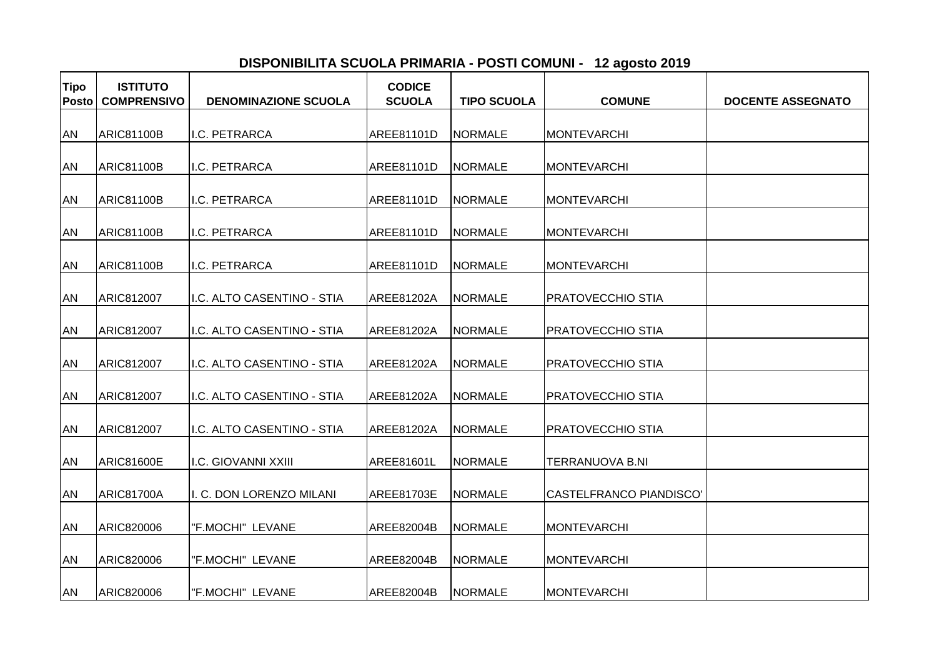## **DISPONIBILITA SCUOLA PRIMARIA - POSTI COMUNI - 12 agosto 2019**

| <b>Tipo</b><br><b>Posto</b> | <b>ISTITUTO</b><br><b>COMPRENSIVO</b> | <b>DENOMINAZIONE SCUOLA</b> | <b>CODICE</b><br><b>SCUOLA</b> | <b>TIPO SCUOLA</b> | <b>COMUNE</b>                   | <b>DOCENTE ASSEGNATO</b> |
|-----------------------------|---------------------------------------|-----------------------------|--------------------------------|--------------------|---------------------------------|--------------------------|
|                             |                                       |                             |                                |                    |                                 |                          |
| <b>AN</b>                   | <b>ARIC81100B</b>                     | I.C. PETRARCA               | AREE81101D                     | <b>NORMALE</b>     | <b>MONTEVARCHI</b>              |                          |
| <b>AN</b>                   | <b>ARIC81100B</b>                     | I.C. PETRARCA               | AREE81101D                     | <b>NORMALE</b>     | MONTEVARCHI                     |                          |
| AN                          | <b>ARIC81100B</b>                     | I.C. PETRARCA               | AREE81101D                     | <b>NORMALE</b>     | <b>MONTEVARCHI</b>              |                          |
| <b>AN</b>                   | <b>ARIC81100B</b>                     | I.C. PETRARCA               | AREE81101D                     | <b>NORMALE</b>     | <b>MONTEVARCHI</b>              |                          |
| <b>AN</b>                   | ARIC81100B                            | I.C. PETRARCA               | AREE81101D                     | <b>NORMALE</b>     | <b>MONTEVARCHI</b>              |                          |
| AN                          | ARIC812007                            | I.C. ALTO CASENTINO - STIA  | AREE81202A                     | <b>NORMALE</b>     | PRATOVECCHIO STIA               |                          |
| AN                          | ARIC812007                            | I.C. ALTO CASENTINO - STIA  | AREE81202A                     | <b>NORMALE</b>     | <b>PRATOVECCHIO STIA</b>        |                          |
| <b>AN</b>                   | <b>ARIC812007</b>                     | I.C. ALTO CASENTINO - STIA  | <b>AREE81202A</b>              | <b>NORMALE</b>     | <b>PRATOVECCHIO STIA</b>        |                          |
| AN                          | ARIC812007                            | I.C. ALTO CASENTINO - STIA  | AREE81202A                     | <b>NORMALE</b>     | <b>PRATOVECCHIO STIA</b>        |                          |
| <b>AN</b>                   | ARIC812007                            | I.C. ALTO CASENTINO - STIA  | AREE81202A                     | <b>NORMALE</b>     | <b>PRATOVECCHIO STIA</b>        |                          |
| <b>AN</b>                   | <b>ARIC81600E</b>                     | <b>I.C. GIOVANNI XXIII</b>  | AREE81601L                     | <b>NORMALE</b>     | TERRANUOVA B.NI                 |                          |
|                             |                                       |                             |                                |                    |                                 |                          |
| <b>AN</b>                   | <b>ARIC81700A</b>                     | I. C. DON LORENZO MILANI    | <b>AREE81703E</b>              | <b>NORMALE</b>     | <b>CASTELFRANCO PIANDISCO</b> ' |                          |
| AN                          | ARIC820006                            | "F.MOCHI" LEVANE            | AREE82004B                     | <b>NORMALE</b>     | <b>MONTEVARCHI</b>              |                          |
| <b>AN</b>                   | ARIC820006                            | "F.MOCHI" LEVANE            | AREE82004B                     | <b>NORMALE</b>     | <b>MONTEVARCHI</b>              |                          |
| <b>AN</b>                   | <b>ARIC820006</b>                     | "F.MOCHI" LEVANE            | AREE82004B                     | <b>NORMALE</b>     | <b>MONTEVARCHI</b>              |                          |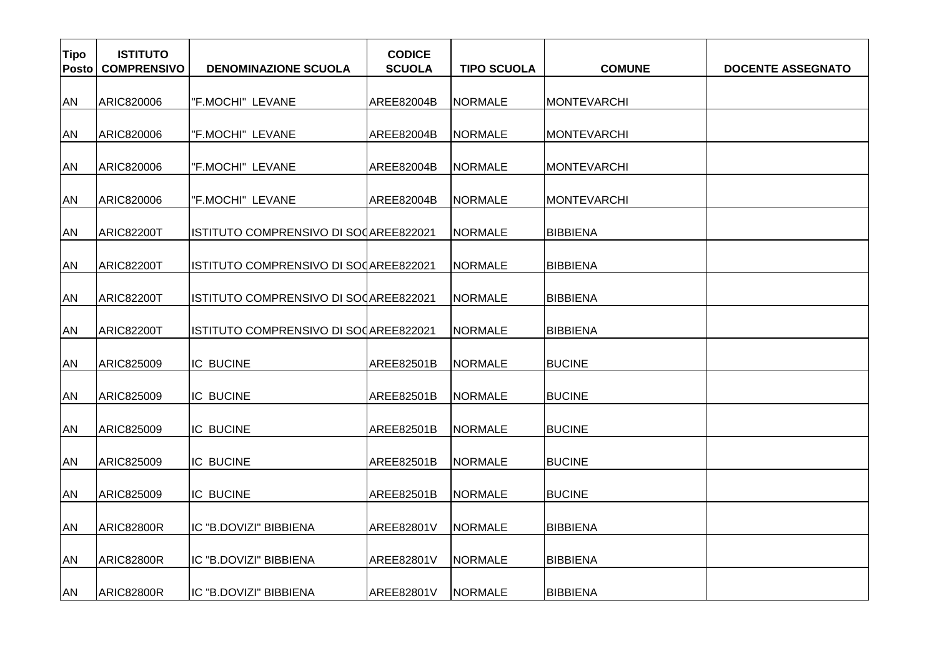| <b>Tipo</b><br>Posto | <b>ISTITUTO</b><br><b>COMPRENSIVO</b> | <b>DENOMINAZIONE SCUOLA</b>           | <b>CODICE</b><br><b>SCUOLA</b> | <b>TIPO SCUOLA</b> | <b>COMUNE</b>      | <b>DOCENTE ASSEGNATO</b> |
|----------------------|---------------------------------------|---------------------------------------|--------------------------------|--------------------|--------------------|--------------------------|
| AN                   | ARIC820006                            | "F.MOCHI" LEVANE                      | AREE82004B                     | <b>NORMALE</b>     | MONTEVARCHI        |                          |
| AN                   | ARIC820006                            | "F.MOCHI" LEVANE                      | AREE82004B                     | <b>NORMALE</b>     | <b>MONTEVARCHI</b> |                          |
| AN                   | ARIC820006                            | "F.MOCHI" LEVANE                      | AREE82004B                     | <b>NORMALE</b>     | <b>MONTEVARCHI</b> |                          |
| AN                   | ARIC820006                            | "F.MOCHI" LEVANE                      | AREE82004B                     | NORMALE            | MONTEVARCHI        |                          |
| AN                   | ARIC82200T                            | ISTITUTO COMPRENSIVO DI SOCAREE822021 |                                | <b>NORMALE</b>     | <b>BIBBIENA</b>    |                          |
| AN                   | <b>ARIC82200T</b>                     | ISTITUTO COMPRENSIVO DI SOCAREE822021 |                                | <b>NORMALE</b>     | <b>BIBBIENA</b>    |                          |
| AN                   | ARIC82200T                            | ISTITUTO COMPRENSIVO DI SOCAREE822021 |                                | <b>NORMALE</b>     | <b>BIBBIENA</b>    |                          |
| AN                   | ARIC82200T                            | ISTITUTO COMPRENSIVO DI SOCAREE822021 |                                | <b>NORMALE</b>     | <b>BIBBIENA</b>    |                          |
| AN                   | ARIC825009                            | <b>IC BUCINE</b>                      | AREE82501B                     | <b>NORMALE</b>     | <b>BUCINE</b>      |                          |
| AN                   | ARIC825009                            | <b>IC BUCINE</b>                      | AREE82501B                     | <b>NORMALE</b>     | <b>BUCINE</b>      |                          |
| <b>AN</b>            | ARIC825009                            | <b>IC BUCINE</b>                      | AREE82501B                     | <b>NORMALE</b>     | <b>BUCINE</b>      |                          |
| AN                   | ARIC825009                            | <b>IC BUCINE</b>                      | AREE82501B                     | <b>NORMALE</b>     | <b>BUCINE</b>      |                          |
| AN                   | ARIC825009                            | <b>IC BUCINE</b>                      | AREE82501B                     | <b>NORMALE</b>     | <b>BUCINE</b>      |                          |
| AN                   | <b>ARIC82800R</b>                     | IC "B.DOVIZI" BIBBIENA                | AREE82801V                     | <b>NORMALE</b>     | <b>BIBBIENA</b>    |                          |
| AN                   | ARIC82800R                            | IIC "B.DOVIZI" BIBBIENA               | AREE82801V                     | <b>NORMALE</b>     | <b>BIBBIENA</b>    |                          |
| <b>AN</b>            | ARIC82800R                            | IC "B.DOVIZI" BIBBIENA                | <b>AREE82801V</b>              | <b>NORMALE</b>     | <b>BIBBIENA</b>    |                          |